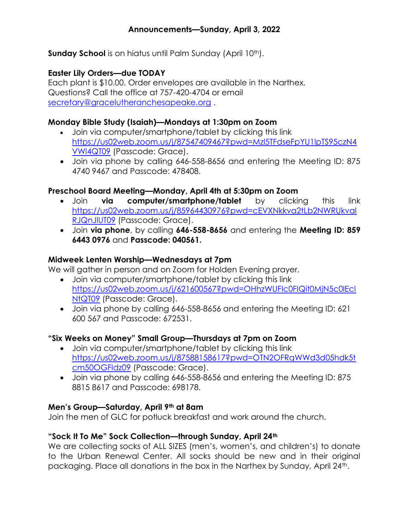Sunday School is on hiatus until Palm Sunday (April 10<sup>th</sup>).

# Easter Lily Orders—due TODAY

Each plant is \$10.00. Order envelopes are available in the Narthex. Questions? Call the office at 757-420-4704 or email secretary@gracelutheranchesapeake.org .

### Monday Bible Study (Isaiah)—Mondays at 1:30pm on Zoom

- Join via computer/smartphone/tablet by clicking this link https://us02web.zoom.us/j/87547409467?pwd=Mzl5TFdseFpYU1lpTS95czN4 VWl4QT09 (Passcode: Grace).
- Join via phone by calling 646-558-8656 and entering the Meeting ID: 875 4740 9467 and Passcode: 478408.

# Preschool Board Meeting—Monday, April 4th at 5:30pm on Zoom

- Join **via computer/smartphone/tablet** by clicking this link https://us02web.zoom.us/j/85964430976?pwd=cEVXNkkva2tLb2NWRUkval RJQnJlUT09 (Passcode: Grace).
- Join via phone, by calling 646-558-8656 and entering the Meeting ID: 859 6443 0976 and Passcode: 040561.

### Midweek Lenten Worship—Wednesdays at 7pm

We will gather in person and on Zoom for Holden Evening prayer.

- Join via computer/smartphone/tablet by clicking this link https://us02web.zoom.us/j/621600567?pwd=OHhzWUFIc0FIQit0MjN5c0lEcl NtQT09 (Passcode: Grace).
- Join via phone by calling 646-558-8656 and entering the Meeting ID: 621 600 567 and Passcode: 672531.

# "Six Weeks on Money" Small Group—Thursdays at 7pm on Zoom

- Join via computer/smartphone/tablet by clicking this link https://us02web.zoom.us/j/87588158617?pwd=OTN2OFRqWWd3d05hdk5t cm50OGFldz09 (Passcode: Grace).
- Join via phone by calling 646-558-8656 and entering the Meeting ID: 875 8815 8617 and Passcode: 698178.

# Men's Group—Saturday, April 9th at 8am

Join the men of GLC for potluck breakfast and work around the church.

# "Sock It To Me" Sock Collection—through Sunday, April 24th

We are collecting socks of ALL SIZES (men's, women's, and children's) to donate to the Urban Renewal Center. All socks should be new and in their original packaging. Place all donations in the box in the Narthex by Sunday, April 24<sup>th</sup>.